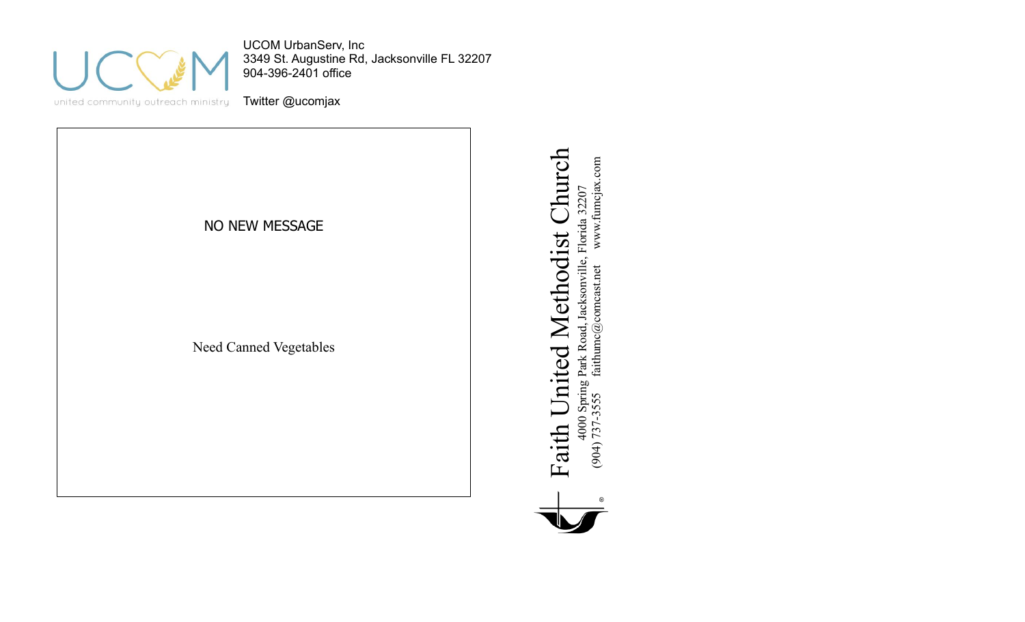

UCOM UrbanServ, Inc 3349 St. Augustine Rd, Jacksonville FL 32207 904-396-2401 office

united community outreach ministry

Twitter @ucomjax